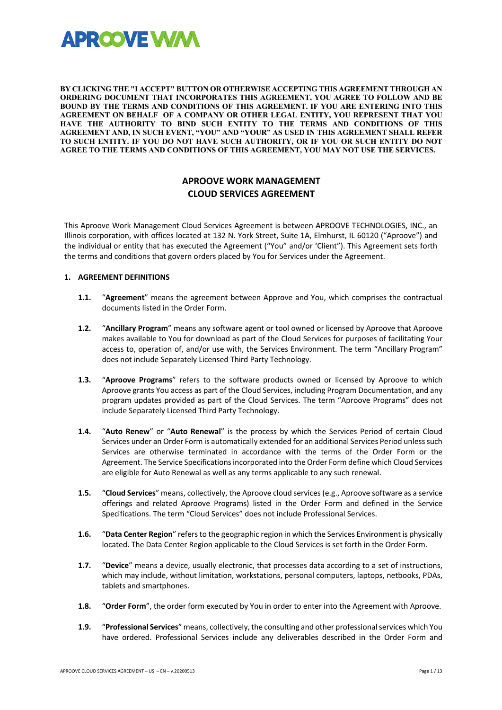

**BY CLICKING THE "I ACCEPT" BUTTON OR OTHERWISE ACCEPTING THIS AGREEMENT THROUGH AN ORDERING DOCUMENT THAT INCORPORATES THIS AGREEMENT, YOU AGREE TO FOLLOW AND BE BOUND BY THE TERMS AND CONDITIONS OF THIS AGREEMENT. IF YOU ARE ENTERING INTO THIS AGREEMENT ON BEHALF OF A COMPANY OR OTHER LEGAL ENTITY, YOU REPRESENT THAT YOU HAVE THE AUTHORITY TO BIND SUCH ENTITY TO THE TERMS AND CONDITIONS OF THIS AGREEMENT AND, IN SUCH EVENT, "YOU" AND "YOUR" AS USED IN THIS AGREEMENT SHALL REFER TO SUCH ENTITY. IF YOU DO NOT HAVE SUCH AUTHORITY, OR IF YOU OR SUCH ENTITY DO NOT AGREE TO THE TERMS AND CONDITIONS OF THIS AGREEMENT, YOU MAY NOT USE THE SERVICES.**

# **APROOVE WORK MANAGEMENT CLOUD SERVICES AGREEMENT**

This Aproove Work Management Cloud Services Agreement is between APROOVE TECHNOLOGIES, INC., an Illinois corporation, with offices located at 132 N. York Street, Suite 1A, Elmhurst, IL 60120 ("Aproove") and the individual or entity that has executed the Agreement ("You" and/or 'Client"). This Agreement sets forth the terms and conditions that govern orders placed by You for Services under the Agreement.

# **1. AGREEMENT DEFINITIONS**

- **1.1.** "**Agreement**" means the agreement between Approve and You, which comprises the contractual documents listed in the Order Form.
- **1.2.** "**Ancillary Program**" means any software agent or tool owned or licensed by Aproove that Aproove makes available to You for download as part of the Cloud Services for purposes of facilitating Your access to, operation of, and/or use with, the Services Environment. The term "Ancillary Program" does not include Separately Licensed Third Party Technology.
- **1.3.** "**Aproove Programs**" refers to the software products owned or licensed by Aproove to which Aproove grants You access as part of the Cloud Services, including Program Documentation, and any program updates provided as part of the Cloud Services. The term "Aproove Programs" does not include Separately Licensed Third Party Technology.
- **1.4.** "**Auto Renew**" or "**Auto Renewal**" is the process by which the Services Period of certain Cloud Services under an Order Form is automatically extended for an additional Services Period unless such Services are otherwise terminated in accordance with the terms of the Order Form or the Agreement. The Service Specifications incorporated into the Order Form define which Cloud Services are eligible for Auto Renewal as well as any terms applicable to any such renewal.
- **1.5.** "**Cloud Services**" means, collectively, the Aproove cloud services (e.g., Aproove software as a service offerings and related Aproove Programs) listed in the Order Form and defined in the Service Specifications. The term "Cloud Services" does not include Professional Services.
- **1.6.** "**Data Center Region**" refers to the geographic region in which the Services Environment is physically located. The Data Center Region applicable to the Cloud Services is set forth in the Order Form.
- **1.7.** "**Device**" means a device, usually electronic, that processes data according to a set of instructions, which may include, without limitation, workstations, personal computers, laptops, netbooks, PDAs, tablets and smartphones.
- **1.8.** "**Order Form**", the order form executed by You in order to enter into the Agreement with Aproove.
- **1.9.** "**Professional Services**" means, collectively, the consulting and other professional services which You have ordered. Professional Services include any deliverables described in the Order Form and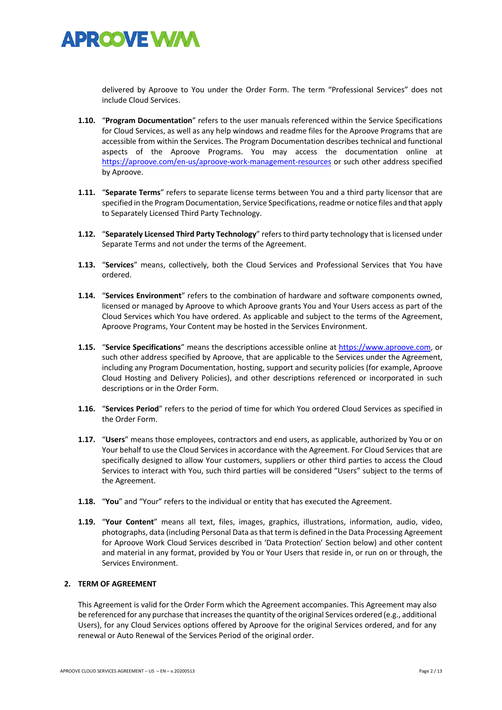

delivered by Aproove to You under the Order Form. The term "Professional Services" does not include Cloud Services.

- **1.10.** "**Program Documentation**" refers to the user manuals referenced within the Service Specifications for Cloud Services, as well as any help windows and readme files for the Aproove Programs that are accessible from within the Services. The Program Documentation describes technical and functional aspects of the Aproove Programs. You may access the documentation online at https://aproove.com/en-us/aproove-work-management-resources or such other address specified by Aproove.
- **1.11.** "**Separate Terms**" refers to separate license terms between You and a third party licensor that are specified in the Program Documentation, Service Specifications, readme or notice files and that apply to Separately Licensed Third Party Technology.
- **1.12.** "**Separately Licensed Third Party Technology**" refers to third party technology that is licensed under Separate Terms and not under the terms of the Agreement.
- **1.13.** "**Services**" means, collectively, both the Cloud Services and Professional Services that You have ordered.
- **1.14.** "**Services Environment**" refers to the combination of hardware and software components owned, licensed or managed by Aproove to which Aproove grants You and Your Users access as part of the Cloud Services which You have ordered. As applicable and subject to the terms of the Agreement, Aproove Programs, Your Content may be hosted in the Services Environment.
- **1.15.** "**Service Specifications**" means the descriptions accessible online at https://www.aproove.com, or such other address specified by Aproove, that are applicable to the Services under the Agreement, including any Program Documentation, hosting, support and security policies (for example, Aproove Cloud Hosting and Delivery Policies), and other descriptions referenced or incorporated in such descriptions or in the Order Form.
- **1.16.** "**Services Period**" refers to the period of time for which You ordered Cloud Services as specified in the Order Form.
- **1.17.** "**Users**" means those employees, contractors and end users, as applicable, authorized by You or on Your behalf to use the Cloud Services in accordance with the Agreement. For Cloud Services that are specifically designed to allow Your customers, suppliers or other third parties to access the Cloud Services to interact with You, such third parties will be considered "Users" subject to the terms of the Agreement.
- **1.18.** "**You**" and "Your" refers to the individual or entity that has executed the Agreement.
- **1.19.** "**Your Content**" means all text, files, images, graphics, illustrations, information, audio, video, photographs, data (including Personal Data as that term is defined in the Data Processing Agreement for Aproove Work Cloud Services described in 'Data Protection' Section below) and other content and material in any format, provided by You or Your Users that reside in, or run on or through, the Services Environment.

# **2. TERM OF AGREEMENT**

This Agreement is valid for the Order Form which the Agreement accompanies. This Agreement may also be referenced for any purchase that increases the quantity of the original Services ordered (e.g., additional Users), for any Cloud Services options offered by Aproove for the original Services ordered, and for any renewal or Auto Renewal of the Services Period of the original order.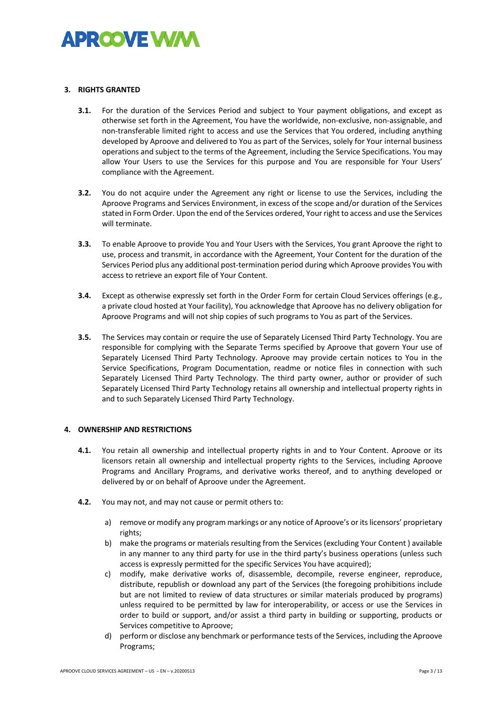

# **3. RIGHTS GRANTED**

- **3.1.** For the duration of the Services Period and subject to Your payment obligations, and except as otherwise set forth in the Agreement, You have the worldwide, non-exclusive, non-assignable, and non-transferable limited right to access and use the Services that You ordered, including anything developed by Aproove and delivered to You as part of the Services, solely for Your internal business operations and subject to the terms of the Agreement, including the Service Specifications. You may allow Your Users to use the Services for this purpose and You are responsible for Your Users' compliance with the Agreement.
- **3.2.** You do not acquire under the Agreement any right or license to use the Services, including the Aproove Programs and Services Environment, in excess of the scope and/or duration of the Services stated in Form Order. Upon the end of the Services ordered, Your right to access and use the Services will terminate.
- **3.3.** To enable Aproove to provide You and Your Users with the Services, You grant Aproove the right to use, process and transmit, in accordance with the Agreement, Your Content for the duration of the Services Period plus any additional post-termination period during which Aproove provides You with access to retrieve an export file of Your Content.
- **3.4.** Except as otherwise expressly set forth in the Order Form for certain Cloud Services offerings (e.g., a private cloud hosted at Your facility), You acknowledge that Aproove has no delivery obligation for Aproove Programs and will not ship copies of such programs to You as part of the Services.
- **3.5.** The Services may contain or require the use of Separately Licensed Third Party Technology. You are responsible for complying with the Separate Terms specified by Aproove that govern Your use of Separately Licensed Third Party Technology. Aproove may provide certain notices to You in the Service Specifications, Program Documentation, readme or notice files in connection with such Separately Licensed Third Party Technology. The third party owner, author or provider of such Separately Licensed Third Party Technology retains all ownership and intellectual property rights in and to such Separately Licensed Third Party Technology.

#### **4. OWNERSHIP AND RESTRICTIONS**

- **4.1.** You retain all ownership and intellectual property rights in and to Your Content. Aproove or its licensors retain all ownership and intellectual property rights to the Services, including Aproove Programs and Ancillary Programs, and derivative works thereof, and to anything developed or delivered by or on behalf of Aproove under the Agreement.
- **4.2.** You may not, and may not cause or permit others to:
	- a) remove or modify any program markings or any notice of Aproove's or its licensors' proprietary rights;
	- b) make the programs or materials resulting from the Services (excluding Your Content ) available in any manner to any third party for use in the third party's business operations (unless such access is expressly permitted for the specific Services You have acquired);
	- c) modify, make derivative works of, disassemble, decompile, reverse engineer, reproduce, distribute, republish or download any part of the Services (the foregoing prohibitions include but are not limited to review of data structures or similar materials produced by programs) unless required to be permitted by law for interoperability, or access or use the Services in order to build or support, and/or assist a third party in building or supporting, products or Services competitive to Aproove;
	- d) perform or disclose any benchmark or performance tests of the Services, including the Aproove Programs;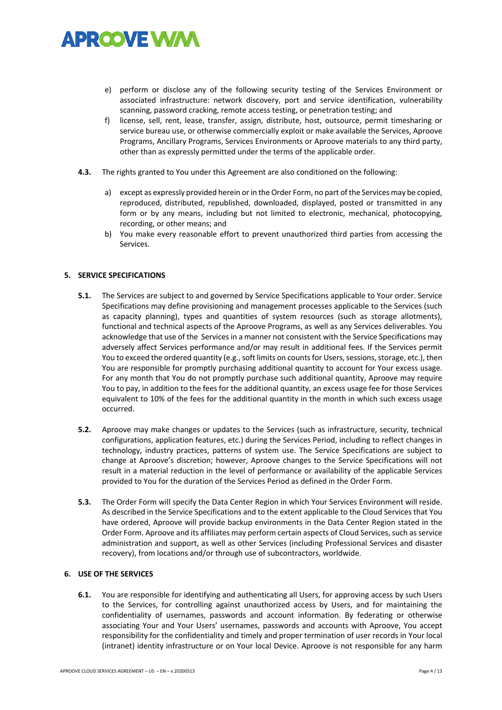

- e) perform or disclose any of the following security testing of the Services Environment or associated infrastructure: network discovery, port and service identification, vulnerability scanning, password cracking, remote access testing, or penetration testing; and
- f) license, sell, rent, lease, transfer, assign, distribute, host, outsource, permit timesharing or service bureau use, or otherwise commercially exploit or make available the Services, Aproove Programs, Ancillary Programs, Services Environments or Aproove materials to any third party, other than as expressly permitted under the terms of the applicable order.
- **4.3.** The rights granted to You under this Agreement are also conditioned on the following:
	- a) except as expressly provided herein or in the Order Form, no part of the Services may be copied, reproduced, distributed, republished, downloaded, displayed, posted or transmitted in any form or by any means, including but not limited to electronic, mechanical, photocopying, recording, or other means; and
	- b) You make every reasonable effort to prevent unauthorized third parties from accessing the Services.

# **5. SERVICE SPECIFICATIONS**

- **5.1.** The Services are subject to and governed by Service Specifications applicable to Your order. Service Specifications may define provisioning and management processes applicable to the Services (such as capacity planning), types and quantities of system resources (such as storage allotments), functional and technical aspects of the Aproove Programs, as well as any Services deliverables. You acknowledge that use of the Services in a manner not consistent with the Service Specifications may adversely affect Services performance and/or may result in additional fees. If the Services permit You to exceed the ordered quantity (e.g., soft limits on counts for Users, sessions, storage, etc.), then You are responsible for promptly purchasing additional quantity to account for Your excess usage. For any month that You do not promptly purchase such additional quantity, Aproove may require You to pay, in addition to the fees for the additional quantity, an excess usage fee for those Services equivalent to 10% of the fees for the additional quantity in the month in which such excess usage occurred.
- **5.2.** Aproove may make changes or updates to the Services (such as infrastructure, security, technical configurations, application features, etc.) during the Services Period, including to reflect changes in technology, industry practices, patterns of system use. The Service Specifications are subject to change at Aproove's discretion; however, Aproove changes to the Service Specifications will not result in a material reduction in the level of performance or availability of the applicable Services provided to You for the duration of the Services Period as defined in the Order Form.
- **5.3.** The Order Form will specify the Data Center Region in which Your Services Environment will reside. As described in the Service Specifications and to the extent applicable to the Cloud Services that You have ordered, Aproove will provide backup environments in the Data Center Region stated in the Order Form. Aproove and its affiliates may perform certain aspects of Cloud Services, such as service administration and support, as well as other Services (including Professional Services and disaster recovery), from locations and/or through use of subcontractors, worldwide.

# **6. USE OF THE SERVICES**

**6.1.** You are responsible for identifying and authenticating all Users, for approving access by such Users to the Services, for controlling against unauthorized access by Users, and for maintaining the confidentiality of usernames, passwords and account information. By federating or otherwise associating Your and Your Users' usernames, passwords and accounts with Aproove, You accept responsibility for the confidentiality and timely and proper termination of user records in Your local (intranet) identity infrastructure or on Your local Device. Aproove is not responsible for any harm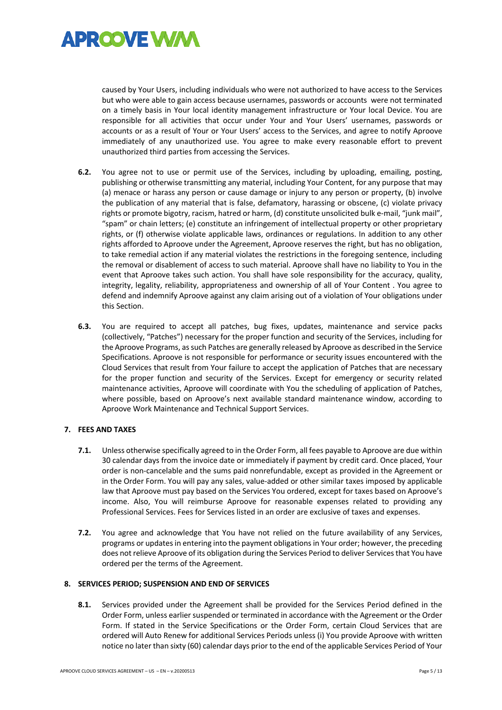

caused by Your Users, including individuals who were not authorized to have access to the Services but who were able to gain access because usernames, passwords or accounts were not terminated on a timely basis in Your local identity management infrastructure or Your local Device. You are responsible for all activities that occur under Your and Your Users' usernames, passwords or accounts or as a result of Your or Your Users' access to the Services, and agree to notify Aproove immediately of any unauthorized use. You agree to make every reasonable effort to prevent unauthorized third parties from accessing the Services.

- **6.2.** You agree not to use or permit use of the Services, including by uploading, emailing, posting, publishing or otherwise transmitting any material, including Your Content, for any purpose that may (a) menace or harass any person or cause damage or injury to any person or property, (b) involve the publication of any material that is false, defamatory, harassing or obscene, (c) violate privacy rights or promote bigotry, racism, hatred or harm, (d) constitute unsolicited bulk e-mail, "junk mail", "spam" or chain letters; (e) constitute an infringement of intellectual property or other proprietary rights, or (f) otherwise violate applicable laws, ordinances or regulations. In addition to any other rights afforded to Aproove under the Agreement, Aproove reserves the right, but has no obligation, to take remedial action if any material violates the restrictions in the foregoing sentence, including the removal or disablement of access to such material. Aproove shall have no liability to You in the event that Aproove takes such action. You shall have sole responsibility for the accuracy, quality, integrity, legality, reliability, appropriateness and ownership of all of Your Content . You agree to defend and indemnify Aproove against any claim arising out of a violation of Your obligations under this Section.
- **6.3.** You are required to accept all patches, bug fixes, updates, maintenance and service packs (collectively, "Patches") necessary for the proper function and security of the Services, including for the Aproove Programs, as such Patches are generally released by Aproove as described in the Service Specifications. Aproove is not responsible for performance or security issues encountered with the Cloud Services that result from Your failure to accept the application of Patches that are necessary for the proper function and security of the Services. Except for emergency or security related maintenance activities, Aproove will coordinate with You the scheduling of application of Patches, where possible, based on Aproove's next available standard maintenance window, according to Aproove Work Maintenance and Technical Support Services.

# **7. FEES AND TAXES**

- **7.1.** Unless otherwise specifically agreed to in the Order Form, all fees payable to Aproove are due within 30 calendar days from the invoice date or immediately if payment by credit card. Once placed, Your order is non-cancelable and the sums paid nonrefundable, except as provided in the Agreement or in the Order Form. You will pay any sales, value-added or other similar taxes imposed by applicable law that Aproove must pay based on the Services You ordered, except for taxes based on Aproove's income. Also, You will reimburse Aproove for reasonable expenses related to providing any Professional Services. Fees for Services listed in an order are exclusive of taxes and expenses.
- **7.2.** You agree and acknowledge that You have not relied on the future availability of any Services, programs or updates in entering into the payment obligations in Your order; however, the preceding does not relieve Aproove of its obligation during the Services Period to deliver Services that You have ordered per the terms of the Agreement.

# **8. SERVICES PERIOD; SUSPENSION AND END OF SERVICES**

**8.1.** Services provided under the Agreement shall be provided for the Services Period defined in the Order Form, unless earlier suspended or terminated in accordance with the Agreement or the Order Form. If stated in the Service Specifications or the Order Form, certain Cloud Services that are ordered will Auto Renew for additional Services Periods unless (i) You provide Aproove with written notice no later than sixty (60) calendar days prior to the end of the applicable Services Period of Your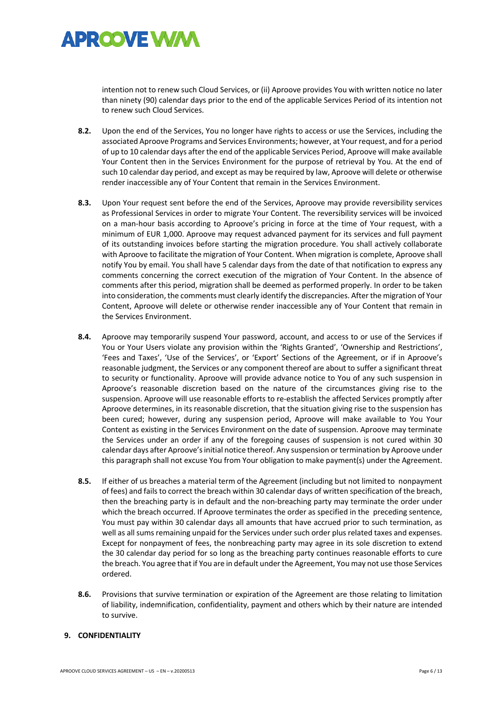

intention not to renew such Cloud Services, or (ii) Aproove provides You with written notice no later than ninety (90) calendar days prior to the end of the applicable Services Period of its intention not to renew such Cloud Services.

- **8.2.** Upon the end of the Services, You no longer have rights to access or use the Services, including the associated Aproove Programs and Services Environments; however, at Your request, and for a period of up to 10 calendar days after the end of the applicable Services Period, Aproove will make available Your Content then in the Services Environment for the purpose of retrieval by You. At the end of such 10 calendar day period, and except as may be required by law, Aproove will delete or otherwise render inaccessible any of Your Content that remain in the Services Environment.
- **8.3.** Upon Your request sent before the end of the Services, Aproove may provide reversibility services as Professional Services in order to migrate Your Content. The reversibility services will be invoiced on a man-hour basis according to Aproove's pricing in force at the time of Your request, with a minimum of EUR 1,000. Aproove may request advanced payment for its services and full payment of its outstanding invoices before starting the migration procedure. You shall actively collaborate with Aproove to facilitate the migration of Your Content. When migration is complete, Aproove shall notify You by email. You shall have 5 calendar days from the date of that notification to express any comments concerning the correct execution of the migration of Your Content. In the absence of comments after this period, migration shall be deemed as performed properly. In order to be taken into consideration, the comments must clearly identify the discrepancies. After the migration of Your Content, Aproove will delete or otherwise render inaccessible any of Your Content that remain in the Services Environment.
- **8.4.** Aproove may temporarily suspend Your password, account, and access to or use of the Services if You or Your Users violate any provision within the 'Rights Granted', 'Ownership and Restrictions', 'Fees and Taxes', 'Use of the Services', or 'Export' Sections of the Agreement, or if in Aproove's reasonable judgment, the Services or any component thereof are about to suffer a significant threat to security or functionality. Aproove will provide advance notice to You of any such suspension in Aproove's reasonable discretion based on the nature of the circumstances giving rise to the suspension. Aproove will use reasonable efforts to re-establish the affected Services promptly after Aproove determines, in its reasonable discretion, that the situation giving rise to the suspension has been cured; however, during any suspension period, Aproove will make available to You Your Content as existing in the Services Environment on the date of suspension. Aproove may terminate the Services under an order if any of the foregoing causes of suspension is not cured within 30 calendar days after Aproove's initial notice thereof. Any suspension or termination by Aproove under this paragraph shall not excuse You from Your obligation to make payment(s) under the Agreement.
- **8.5.** If either of us breaches a material term of the Agreement (including but not limited to nonpayment of fees) and fails to correct the breach within 30 calendar days of written specification of the breach, then the breaching party is in default and the non-breaching party may terminate the order under which the breach occurred. If Aproove terminates the order as specified in the preceding sentence, You must pay within 30 calendar days all amounts that have accrued prior to such termination, as well as all sums remaining unpaid for the Services under such order plus related taxes and expenses. Except for nonpayment of fees, the nonbreaching party may agree in its sole discretion to extend the 30 calendar day period for so long as the breaching party continues reasonable efforts to cure the breach. You agree that if You are in default under the Agreement, You may not use those Services ordered.
- **8.6.** Provisions that survive termination or expiration of the Agreement are those relating to limitation of liability, indemnification, confidentiality, payment and others which by their nature are intended to survive.

# **9. CONFIDENTIALITY**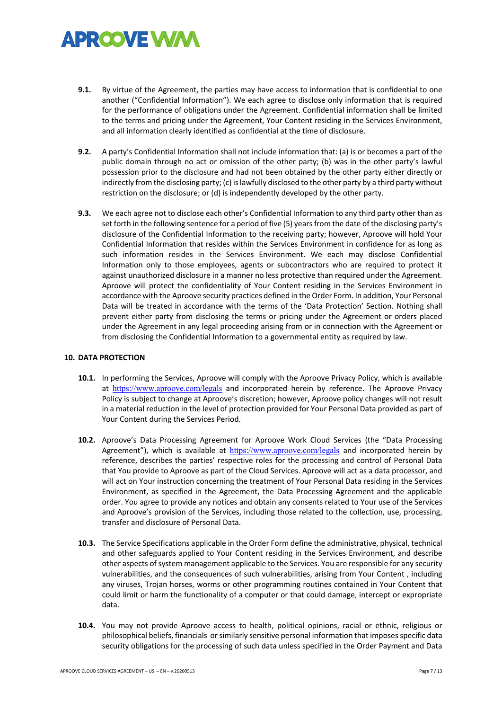# **APROOVE WAA**

- **9.1.** By virtue of the Agreement, the parties may have access to information that is confidential to one another ("Confidential Information"). We each agree to disclose only information that is required for the performance of obligations under the Agreement. Confidential information shall be limited to the terms and pricing under the Agreement, Your Content residing in the Services Environment, and all information clearly identified as confidential at the time of disclosure.
- **9.2.** A party's Confidential Information shall not include information that: (a) is or becomes a part of the public domain through no act or omission of the other party; (b) was in the other party's lawful possession prior to the disclosure and had not been obtained by the other party either directly or indirectly from the disclosing party; (c) is lawfully disclosed to the other party by a third party without restriction on the disclosure; or (d) is independently developed by the other party.
- **9.3.** We each agree not to disclose each other's Confidential Information to any third party other than as set forth in the following sentence for a period of five (5) years from the date of the disclosing party's disclosure of the Confidential Information to the receiving party; however, Aproove will hold Your Confidential Information that resides within the Services Environment in confidence for as long as such information resides in the Services Environment. We each may disclose Confidential Information only to those employees, agents or subcontractors who are required to protect it against unauthorized disclosure in a manner no less protective than required under the Agreement. Aproove will protect the confidentiality of Your Content residing in the Services Environment in accordance with the Aproove security practices defined in the Order Form. In addition, Your Personal Data will be treated in accordance with the terms of the 'Data Protection' Section. Nothing shall prevent either party from disclosing the terms or pricing under the Agreement or orders placed under the Agreement in any legal proceeding arising from or in connection with the Agreement or from disclosing the Confidential Information to a governmental entity as required by law.

# **10. DATA PROTECTION**

- **10.1.** In performing the Services, Aproove will comply with the Aproove Privacy Policy, which is available at https://www.aproove.com/legals and incorporated herein by reference. The Aproove Privacy Policy is subject to change at Aproove's discretion; however, Aproove policy changes will not result in a material reduction in the level of protection provided for Your Personal Data provided as part of Your Content during the Services Period.
- **10.2.** Aproove's Data Processing Agreement for Aproove Work Cloud Services (the "Data Processing Agreement"), which is available at https://www.aproove.com/legals and incorporated herein by reference, describes the parties' respective roles for the processing and control of Personal Data that You provide to Aproove as part of the Cloud Services. Aproove will act as a data processor, and will act on Your instruction concerning the treatment of Your Personal Data residing in the Services Environment, as specified in the Agreement, the Data Processing Agreement and the applicable order. You agree to provide any notices and obtain any consents related to Your use of the Services and Aproove's provision of the Services, including those related to the collection, use, processing, transfer and disclosure of Personal Data.
- **10.3.** The Service Specifications applicable in the Order Form define the administrative, physical, technical and other safeguards applied to Your Content residing in the Services Environment, and describe other aspects of system management applicable to the Services. You are responsible for any security vulnerabilities, and the consequences of such vulnerabilities, arising from Your Content , including any viruses, Trojan horses, worms or other programming routines contained in Your Content that could limit or harm the functionality of a computer or that could damage, intercept or expropriate data.
- **10.4.** You may not provide Aproove access to health, political opinions, racial or ethnic, religious or philosophical beliefs, financials or similarly sensitive personal information that imposes specific data security obligations for the processing of such data unless specified in the Order Payment and Data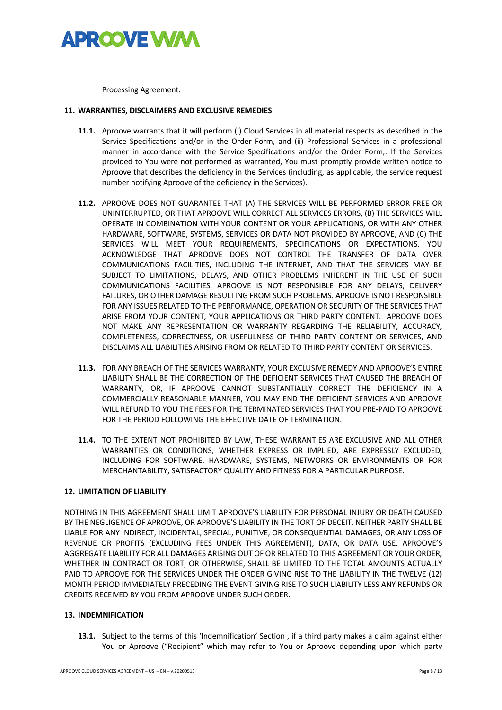

Processing Agreement.

#### **11. WARRANTIES, DISCLAIMERS AND EXCLUSIVE REMEDIES**

- **11.1.** Aproove warrants that it will perform (i) Cloud Services in all material respects as described in the Service Specifications and/or in the Order Form, and (ii) Professional Services in a professional manner in accordance with the Service Specifications and/or the Order Form,. If the Services provided to You were not performed as warranted, You must promptly provide written notice to Aproove that describes the deficiency in the Services (including, as applicable, the service request number notifying Aproove of the deficiency in the Services).
- **11.2.** APROOVE DOES NOT GUARANTEE THAT (A) THE SERVICES WILL BE PERFORMED ERROR-FREE OR UNINTERRUPTED, OR THAT APROOVE WILL CORRECT ALL SERVICES ERRORS, (B) THE SERVICES WILL OPERATE IN COMBINATION WITH YOUR CONTENT OR YOUR APPLICATIONS, OR WITH ANY OTHER HARDWARE, SOFTWARE, SYSTEMS, SERVICES OR DATA NOT PROVIDED BY APROOVE, AND (C) THE SERVICES WILL MEET YOUR REQUIREMENTS, SPECIFICATIONS OR EXPECTATIONS. YOU ACKNOWLEDGE THAT APROOVE DOES NOT CONTROL THE TRANSFER OF DATA OVER COMMUNICATIONS FACILITIES, INCLUDING THE INTERNET, AND THAT THE SERVICES MAY BE SUBJECT TO LIMITATIONS, DELAYS, AND OTHER PROBLEMS INHERENT IN THE USE OF SUCH COMMUNICATIONS FACILITIES. APROOVE IS NOT RESPONSIBLE FOR ANY DELAYS, DELIVERY FAILURES, OR OTHER DAMAGE RESULTING FROM SUCH PROBLEMS. APROOVE IS NOT RESPONSIBLE FOR ANY ISSUES RELATED TO THE PERFORMANCE, OPERATION OR SECURITY OF THE SERVICES THAT ARISE FROM YOUR CONTENT, YOUR APPLICATIONS OR THIRD PARTY CONTENT. APROOVE DOES NOT MAKE ANY REPRESENTATION OR WARRANTY REGARDING THE RELIABILITY, ACCURACY, COMPLETENESS, CORRECTNESS, OR USEFULNESS OF THIRD PARTY CONTENT OR SERVICES, AND DISCLAIMS ALL LIABILITIES ARISING FROM OR RELATED TO THIRD PARTY CONTENT OR SERVICES.
- **11.3.** FOR ANY BREACH OF THE SERVICES WARRANTY, YOUR EXCLUSIVE REMEDY AND APROOVE'S ENTIRE LIABILITY SHALL BE THE CORRECTION OF THE DEFICIENT SERVICES THAT CAUSED THE BREACH OF WARRANTY, OR, IF APROOVE CANNOT SUBSTANTIALLY CORRECT THE DEFICIENCY IN A COMMERCIALLY REASONABLE MANNER, YOU MAY END THE DEFICIENT SERVICES AND APROOVE WILL REFUND TO YOU THE FEES FOR THE TERMINATED SERVICES THAT YOU PRE-PAID TO APROOVE FOR THE PERIOD FOLLOWING THE EFFECTIVE DATE OF TERMINATION.
- **11.4.** TO THE EXTENT NOT PROHIBITED BY LAW, THESE WARRANTIES ARE EXCLUSIVE AND ALL OTHER WARRANTIES OR CONDITIONS, WHETHER EXPRESS OR IMPLIED, ARE EXPRESSLY EXCLUDED, INCLUDING FOR SOFTWARE, HARDWARE, SYSTEMS, NETWORKS OR ENVIRONMENTS OR FOR MERCHANTABILITY, SATISFACTORY QUALITY AND FITNESS FOR A PARTICULAR PURPOSE.

# **12. LIMITATION OF LIABILITY**

NOTHING IN THIS AGREEMENT SHALL LIMIT APROOVE'S LIABILITY FOR PERSONAL INJURY OR DEATH CAUSED BY THE NEGLIGENCE OF APROOVE, OR APROOVE'S LIABILITY IN THE TORT OF DECEIT. NEITHER PARTY SHALL BE LIABLE FOR ANY INDIRECT, INCIDENTAL, SPECIAL, PUNITIVE, OR CONSEQUENTIAL DAMAGES, OR ANY LOSS OF REVENUE OR PROFITS (EXCLUDING FEES UNDER THIS AGREEMENT), DATA, OR DATA USE. APROOVE'S AGGREGATE LIABILITY FOR ALL DAMAGES ARISING OUT OF OR RELATED TO THIS AGREEMENT OR YOUR ORDER, WHETHER IN CONTRACT OR TORT, OR OTHERWISE, SHALL BE LIMITED TO THE TOTAL AMOUNTS ACTUALLY PAID TO APROOVE FOR THE SERVICES UNDER THE ORDER GIVING RISE TO THE LIABILITY IN THE TWELVE (12) MONTH PERIOD IMMEDIATELY PRECEDING THE EVENT GIVING RISE TO SUCH LIABILITY LESS ANY REFUNDS OR CREDITS RECEIVED BY YOU FROM APROOVE UNDER SUCH ORDER.

# **13. INDEMNIFICATION**

**13.1.** Subject to the terms of this 'Indemnification' Section , if a third party makes a claim against either You or Aproove ("Recipient" which may refer to You or Aproove depending upon which party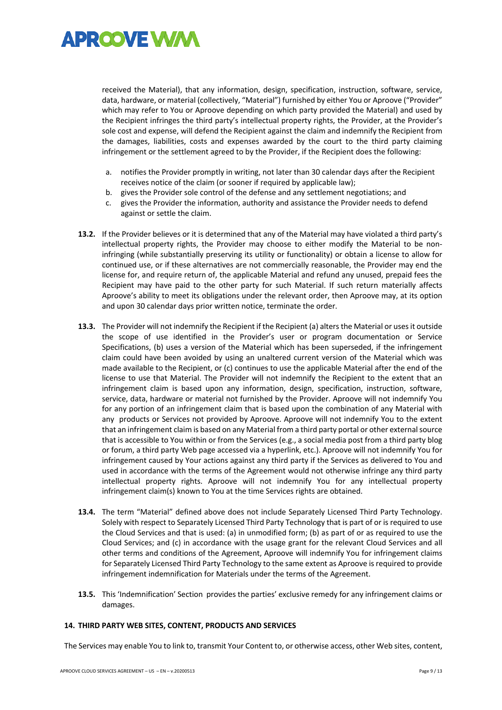

received the Material), that any information, design, specification, instruction, software, service, data, hardware, or material (collectively, "Material") furnished by either You or Aproove ("Provider" which may refer to You or Aproove depending on which party provided the Material) and used by the Recipient infringes the third party's intellectual property rights, the Provider, at the Provider's sole cost and expense, will defend the Recipient against the claim and indemnify the Recipient from the damages, liabilities, costs and expenses awarded by the court to the third party claiming infringement or the settlement agreed to by the Provider, if the Recipient does the following:

- a. notifies the Provider promptly in writing, not later than 30 calendar days after the Recipient receives notice of the claim (or sooner if required by applicable law);
- b. gives the Provider sole control of the defense and any settlement negotiations; and
- c. gives the Provider the information, authority and assistance the Provider needs to defend against or settle the claim.
- **13.2.** If the Provider believes or it is determined that any of the Material may have violated a third party's intellectual property rights, the Provider may choose to either modify the Material to be noninfringing (while substantially preserving its utility or functionality) or obtain a license to allow for continued use, or if these alternatives are not commercially reasonable, the Provider may end the license for, and require return of, the applicable Material and refund any unused, prepaid fees the Recipient may have paid to the other party for such Material. If such return materially affects Aproove's ability to meet its obligations under the relevant order, then Aproove may, at its option and upon 30 calendar days prior written notice, terminate the order.
- **13.3.** The Provider will not indemnify the Recipient if the Recipient (a) alters the Material or uses it outside the scope of use identified in the Provider's user or program documentation or Service Specifications, (b) uses a version of the Material which has been superseded, if the infringement claim could have been avoided by using an unaltered current version of the Material which was made available to the Recipient, or (c) continues to use the applicable Material after the end of the license to use that Material. The Provider will not indemnify the Recipient to the extent that an infringement claim is based upon any information, design, specification, instruction, software, service, data, hardware or material not furnished by the Provider. Aproove will not indemnify You for any portion of an infringement claim that is based upon the combination of any Material with any products or Services not provided by Aproove. Aproove will not indemnify You to the extent that an infringement claim is based on any Material from a third party portal or other external source that is accessible to You within or from the Services (e.g., a social media post from a third party blog or forum, a third party Web page accessed via a hyperlink, etc.). Aproove will not indemnify You for infringement caused by Your actions against any third party if the Services as delivered to You and used in accordance with the terms of the Agreement would not otherwise infringe any third party intellectual property rights. Aproove will not indemnify You for any intellectual property infringement claim(s) known to You at the time Services rights are obtained.
- **13.4.** The term "Material" defined above does not include Separately Licensed Third Party Technology. Solely with respect to Separately Licensed Third Party Technology that is part of or is required to use the Cloud Services and that is used: (a) in unmodified form; (b) as part of or as required to use the Cloud Services; and (c) in accordance with the usage grant for the relevant Cloud Services and all other terms and conditions of the Agreement, Aproove will indemnify You for infringement claims for Separately Licensed Third Party Technology to the same extent as Aproove is required to provide infringement indemnification for Materials under the terms of the Agreement.
- **13.5.** This 'Indemnification' Section provides the parties' exclusive remedy for any infringement claims or damages.

#### **14. THIRD PARTY WEB SITES, CONTENT, PRODUCTS AND SERVICES**

The Services may enable You to link to, transmit Your Content to, or otherwise access, other Web sites, content,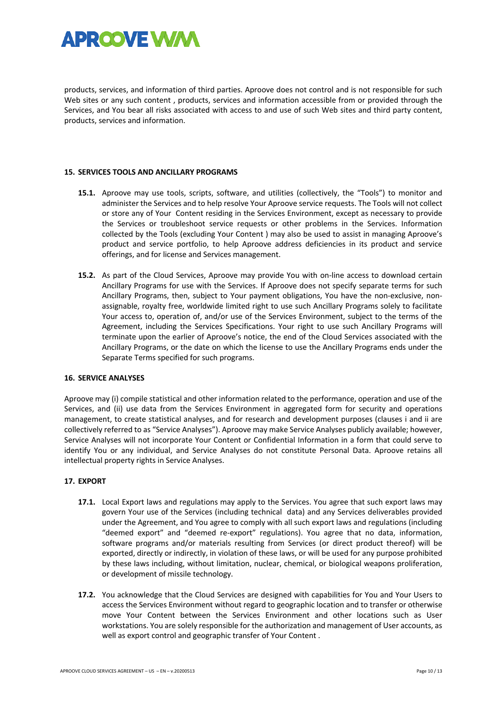

products, services, and information of third parties. Aproove does not control and is not responsible for such Web sites or any such content, products, services and information accessible from or provided through the Services, and You bear all risks associated with access to and use of such Web sites and third party content, products, services and information.

#### **15. SERVICES TOOLS AND ANCILLARY PROGRAMS**

- **15.1.** Aproove may use tools, scripts, software, and utilities (collectively, the "Tools") to monitor and administer the Services and to help resolve Your Aproove service requests. The Tools will not collect or store any of Your Content residing in the Services Environment, except as necessary to provide the Services or troubleshoot service requests or other problems in the Services. Information collected by the Tools (excluding Your Content ) may also be used to assist in managing Aproove's product and service portfolio, to help Aproove address deficiencies in its product and service offerings, and for license and Services management.
- **15.2.** As part of the Cloud Services, Aproove may provide You with on-line access to download certain Ancillary Programs for use with the Services. If Aproove does not specify separate terms for such Ancillary Programs, then, subject to Your payment obligations, You have the non-exclusive, nonassignable, royalty free, worldwide limited right to use such Ancillary Programs solely to facilitate Your access to, operation of, and/or use of the Services Environment, subject to the terms of the Agreement, including the Services Specifications. Your right to use such Ancillary Programs will terminate upon the earlier of Aproove's notice, the end of the Cloud Services associated with the Ancillary Programs, or the date on which the license to use the Ancillary Programs ends under the Separate Terms specified for such programs.

#### **16. SERVICE ANALYSES**

Aproove may (i) compile statistical and other information related to the performance, operation and use of the Services, and (ii) use data from the Services Environment in aggregated form for security and operations management, to create statistical analyses, and for research and development purposes (clauses i and ii are collectively referred to as "Service Analyses"). Aproove may make Service Analyses publicly available; however, Service Analyses will not incorporate Your Content or Confidential Information in a form that could serve to identify You or any individual, and Service Analyses do not constitute Personal Data. Aproove retains all intellectual property rights in Service Analyses.

#### **17. EXPORT**

- **17.1.** Local Export laws and regulations may apply to the Services. You agree that such export laws may govern Your use of the Services (including technical data) and any Services deliverables provided under the Agreement, and You agree to comply with all such export laws and regulations (including "deemed export" and "deemed re-export" regulations). You agree that no data, information, software programs and/or materials resulting from Services (or direct product thereof) will be exported, directly or indirectly, in violation of these laws, or will be used for any purpose prohibited by these laws including, without limitation, nuclear, chemical, or biological weapons proliferation, or development of missile technology.
- **17.2.** You acknowledge that the Cloud Services are designed with capabilities for You and Your Users to access the Services Environment without regard to geographic location and to transfer or otherwise move Your Content between the Services Environment and other locations such as User workstations. You are solely responsible for the authorization and management of User accounts, as well as export control and geographic transfer of Your Content .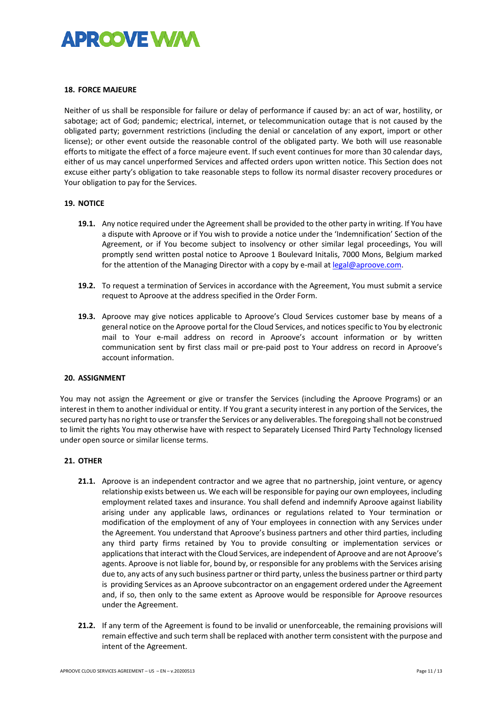

#### **18. FORCE MAJEURE**

Neither of us shall be responsible for failure or delay of performance if caused by: an act of war, hostility, or sabotage; act of God; pandemic; electrical, internet, or telecommunication outage that is not caused by the obligated party; government restrictions (including the denial or cancelation of any export, import or other license); or other event outside the reasonable control of the obligated party. We both will use reasonable efforts to mitigate the effect of a force majeure event. If such event continues for more than 30 calendar days, either of us may cancel unperformed Services and affected orders upon written notice. This Section does not excuse either party's obligation to take reasonable steps to follow its normal disaster recovery procedures or Your obligation to pay for the Services.

#### **19. NOTICE**

- **19.1.** Any notice required under the Agreement shall be provided to the other party in writing. If You have a dispute with Aproove or if You wish to provide a notice under the 'Indemnification' Section of the Agreement, or if You become subject to insolvency or other similar legal proceedings, You will promptly send written postal notice to Aproove 1 Boulevard Initalis, 7000 Mons, Belgium marked for the attention of the Managing Director with a copy by e-mail at legal@aproove.com.
- **19.2.** To request a termination of Services in accordance with the Agreement, You must submit a service request to Aproove at the address specified in the Order Form.
- **19.3.** Aproove may give notices applicable to Aproove's Cloud Services customer base by means of a general notice on the Aproove portal for the Cloud Services, and notices specific to You by electronic mail to Your e-mail address on record in Aproove's account information or by written communication sent by first class mail or pre-paid post to Your address on record in Aproove's account information.

#### **20. ASSIGNMENT**

You may not assign the Agreement or give or transfer the Services (including the Aproove Programs) or an interest in them to another individual or entity. If You grant a security interest in any portion of the Services, the secured party has no right to use or transfer the Services or any deliverables. The foregoing shall not be construed to limit the rights You may otherwise have with respect to Separately Licensed Third Party Technology licensed under open source or similar license terms.

#### **21. OTHER**

- **21.1.** Aproove is an independent contractor and we agree that no partnership, joint venture, or agency relationship exists between us. We each will be responsible for paying our own employees, including employment related taxes and insurance. You shall defend and indemnify Aproove against liability arising under any applicable laws, ordinances or regulations related to Your termination or modification of the employment of any of Your employees in connection with any Services under the Agreement. You understand that Aproove's business partners and other third parties, including any third party firms retained by You to provide consulting or implementation services or applications that interact with the Cloud Services, are independent of Aproove and are not Aproove's agents. Aproove is not liable for, bound by, or responsible for any problems with the Services arising due to, any acts of any such business partner or third party, unless the business partner or third party is providing Services as an Aproove subcontractor on an engagement ordered under the Agreement and, if so, then only to the same extent as Aproove would be responsible for Aproove resources under the Agreement.
- **21.2.** If any term of the Agreement is found to be invalid or unenforceable, the remaining provisions will remain effective and such term shall be replaced with another term consistent with the purpose and intent of the Agreement.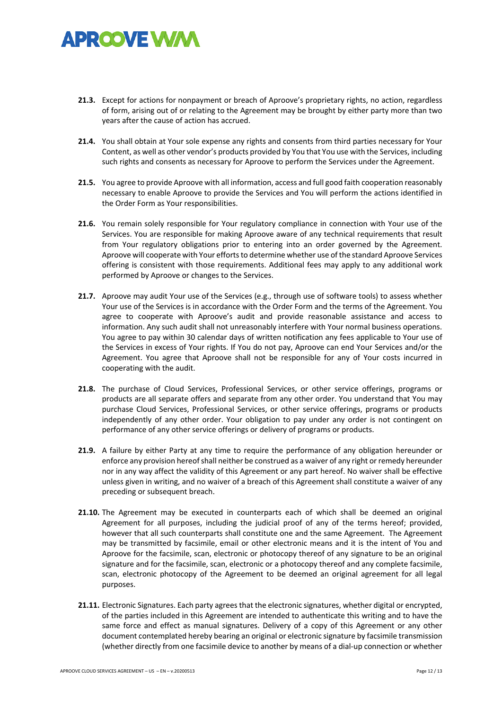# **APROOVE WAA**

- **21.3.** Except for actions for nonpayment or breach of Aproove's proprietary rights, no action, regardless of form, arising out of or relating to the Agreement may be brought by either party more than two years after the cause of action has accrued.
- **21.4.** You shall obtain at Your sole expense any rights and consents from third parties necessary for Your Content, as well as other vendor's products provided by You that You use with the Services, including such rights and consents as necessary for Aproove to perform the Services under the Agreement.
- **21.5.** You agree to provide Aproove with all information, access and full good faith cooperation reasonably necessary to enable Aproove to provide the Services and You will perform the actions identified in the Order Form as Your responsibilities.
- **21.6.** You remain solely responsible for Your regulatory compliance in connection with Your use of the Services. You are responsible for making Aproove aware of any technical requirements that result from Your regulatory obligations prior to entering into an order governed by the Agreement. Aproove will cooperate with Your efforts to determine whether use of the standard Aproove Services offering is consistent with those requirements. Additional fees may apply to any additional work performed by Aproove or changes to the Services.
- **21.7.** Aproove may audit Your use of the Services (e.g., through use of software tools) to assess whether Your use of the Services is in accordance with the Order Form and the terms of the Agreement. You agree to cooperate with Aproove's audit and provide reasonable assistance and access to information. Any such audit shall not unreasonably interfere with Your normal business operations. You agree to pay within 30 calendar days of written notification any fees applicable to Your use of the Services in excess of Your rights. If You do not pay, Aproove can end Your Services and/or the Agreement. You agree that Aproove shall not be responsible for any of Your costs incurred in cooperating with the audit.
- **21.8.** The purchase of Cloud Services, Professional Services, or other service offerings, programs or products are all separate offers and separate from any other order. You understand that You may purchase Cloud Services, Professional Services, or other service offerings, programs or products independently of any other order. Your obligation to pay under any order is not contingent on performance of any other service offerings or delivery of programs or products.
- **21.9.** A failure by either Party at any time to require the performance of any obligation hereunder or enforce any provision hereof shall neither be construed as a waiver of any right or remedy hereunder nor in any way affect the validity of this Agreement or any part hereof. No waiver shall be effective unless given in writing, and no waiver of a breach of this Agreement shall constitute a waiver of any preceding or subsequent breach.
- **21.10.** The Agreement may be executed in counterparts each of which shall be deemed an original Agreement for all purposes, including the judicial proof of any of the terms hereof; provided, however that all such counterparts shall constitute one and the same Agreement. The Agreement may be transmitted by facsimile, email or other electronic means and it is the intent of You and Aproove for the facsimile, scan, electronic or photocopy thereof of any signature to be an original signature and for the facsimile, scan, electronic or a photocopy thereof and any complete facsimile, scan, electronic photocopy of the Agreement to be deemed an original agreement for all legal purposes.
- **21.11.** Electronic Signatures. Each party agrees that the electronic signatures, whether digital or encrypted, of the parties included in this Agreement are intended to authenticate this writing and to have the same force and effect as manual signatures. Delivery of a copy of this Agreement or any other document contemplated hereby bearing an original or electronic signature by facsimile transmission (whether directly from one facsimile device to another by means of a dial-up connection or whether